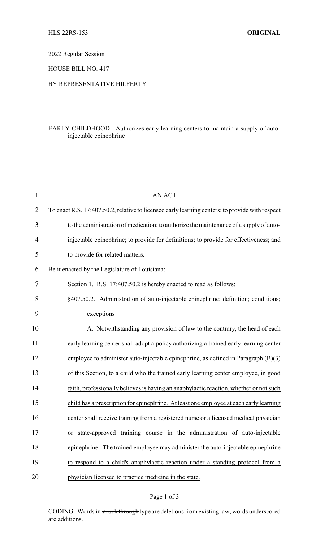2022 Regular Session

HOUSE BILL NO. 417

## BY REPRESENTATIVE HILFERTY

## EARLY CHILDHOOD: Authorizes early learning centers to maintain a supply of autoinjectable epinephrine

| $\mathbf{1}$   | AN ACT                                                                                          |
|----------------|-------------------------------------------------------------------------------------------------|
| $\overline{2}$ | To enact R.S. 17:407.50.2, relative to licensed early learning centers; to provide with respect |
| 3              | to the administration of medication; to authorize the maintenance of a supply of auto-          |
| 4              | injectable epinephrine; to provide for definitions; to provide for effectiveness; and           |
| 5              | to provide for related matters.                                                                 |
| 6              | Be it enacted by the Legislature of Louisiana:                                                  |
| 7              | Section 1. R.S. 17:407.50.2 is hereby enacted to read as follows:                               |
| 8              | §407.50.2. Administration of auto-injectable epinephrine; definition; conditions;               |
| 9              | exceptions                                                                                      |
| 10             | A. Notwithstanding any provision of law to the contrary, the head of each                       |
| 11             | early learning center shall adopt a policy authorizing a trained early learning center          |
| 12             | employee to administer auto-injectable epinephrine, as defined in Paragraph $(B)(3)$            |
| 13             | of this Section, to a child who the trained early learning center employee, in good             |
| 14             | faith, professionally believes is having an anaphylactic reaction, whether or not such          |
| 15             | child has a prescription for epinephrine. At least one employee at each early learning          |
| 16             | center shall receive training from a registered nurse or a licensed medical physician           |
| 17             | or state-approved training course in the administration of auto-injectable                      |
| 18             | epinephrine. The trained employee may administer the auto-injectable epinephrine                |
| 19             | to respond to a child's anaphylactic reaction under a standing protocol from a                  |
| 20             | physician licensed to practice medicine in the state.                                           |
|                |                                                                                                 |

## Page 1 of 3

CODING: Words in struck through type are deletions from existing law; words underscored are additions.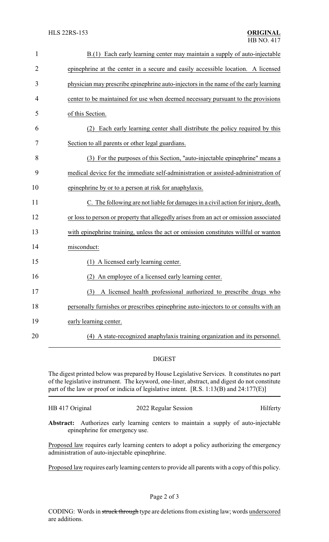| $\mathbf{1}$   | B.(1) Each early learning center may maintain a supply of auto-injectable              |
|----------------|----------------------------------------------------------------------------------------|
| $\overline{2}$ | epinephrine at the center in a secure and easily accessible location. A licensed       |
| 3              | physician may prescribe epinephrine auto-injectors in the name of the early learning   |
| 4              | center to be maintained for use when deemed necessary pursuant to the provisions       |
| 5              | of this Section.                                                                       |
| 6              | Each early learning center shall distribute the policy required by this<br>(2)         |
| 7              | Section to all parents or other legal guardians.                                       |
| 8              | (3) For the purposes of this Section, "auto-injectable epinephrine" means a            |
| 9              | medical device for the immediate self-administration or assisted-administration of     |
| 10             | epinephrine by or to a person at risk for anaphylaxis.                                 |
| 11             | C. The following are not liable for damages in a civil action for injury, death,       |
| 12             | or loss to person or property that allegedly arises from an act or omission associated |
| 13             | with epinephrine training, unless the act or omission constitutes willful or wanton    |
| 14             | misconduct:                                                                            |
| 15             | (1) A licensed early learning center.                                                  |
| 16             | An employee of a licensed early learning center.                                       |
| 17             | (3) A licensed health professional authorized to prescribe drugs who                   |
| 18             | personally furnishes or prescribes epinephrine auto-injectors to or consults with an   |
| 19             | early learning center.                                                                 |
| 20             | (4) A state-recognized anaphylaxis training organization and its personnel.            |
|                |                                                                                        |

## DIGEST

The digest printed below was prepared by House Legislative Services. It constitutes no part of the legislative instrument. The keyword, one-liner, abstract, and digest do not constitute part of the law or proof or indicia of legislative intent. [R.S. 1:13(B) and 24:177(E)]

```
HB 417 Original 2022 Regular Session Hilferty
```
**Abstract:** Authorizes early learning centers to maintain a supply of auto-injectable epinephrine for emergency use.

Proposed law requires early learning centers to adopt a policy authorizing the emergency administration of auto-injectable epinephrine.

Proposed law requires early learning centers to provide all parents with a copy of this policy.